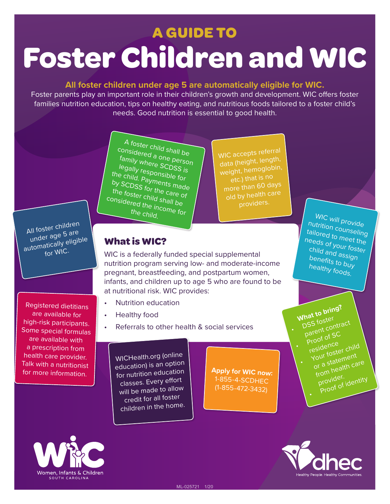# **A GUIDE TO Foster Children and WIC**

#### **All foster children under age 5 are automatically eligible for WIC.**

Foster parents play an important role in their children's growth and development. WIC offers foster families nutrition education, tips on healthy eating, and nutritious foods tailored to a foster child's needs. Good nutrition is essential to good health.

> A foster child shall be considered a one person family where SCDSS is legally responsible for the child. Payments made by SCDSS for the care of the foster child shall be considered the income for the child.

WIC accepts referra<sup>l</sup> data (height, length, weight, hemoglobin, etc.) that is no old by health care providers.

### **What is WIC?**

WIC is a federally funded special supplemental nutrition program serving low- and moderate-income pregnant, breastfeeding, and postpartum women, infants, and children up to age 5 who are found to be at nutritional risk. WIC provides:

- Nutrition education
- Healthy food
- Referrals to other health & social services

WICHealth.org (online education) is an option for nutrition education classes. Every effort will be made to allow credit for all foster children in the home.

**Apply for WIC now:**  1-855-4-SCDHEC (1-855-472-3432)

WIC will provide nutrition counseling tailored to meet the needs of your foster child and assign benefits to buy healthy foods.

What to bring?<br>DSS foster When foster<br>DSS foster<br>parent contract Proof of SC residence Your foster child or a statement from health care provider. •Proof of identity

•



Registered dietitians are available for high-risk participants. Some special formulas are available with a prescription from health care provider. Talk with a nutritionist for more information.

All foster children under age 5 are automatically eligible for WIC.